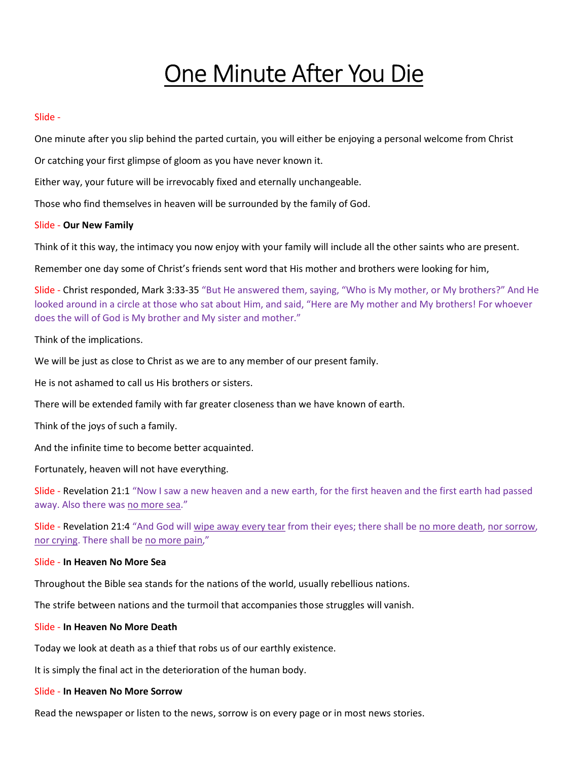# One Minute After You Die

# Slide -

One minute after you slip behind the parted curtain, you will either be enjoying a personal welcome from Christ

Or catching your first glimpse of gloom as you have never known it.

Either way, your future will be irrevocably fixed and eternally unchangeable.

Those who find themselves in heaven will be surrounded by the family of God.

# Slide - Our New Family

Think of it this way, the intimacy you now enjoy with your family will include all the other saints who are present.

Remember one day some of Christ's friends sent word that His mother and brothers were looking for him,

Slide - Christ responded, Mark 3:33-35 "But He answered them, saying, "Who is My mother, or My brothers?" And He looked around in a circle at those who sat about Him, and said, "Here are My mother and My brothers! For whoever does the will of God is My brother and My sister and mother."

# Think of the implications.

We will be just as close to Christ as we are to any member of our present family.

He is not ashamed to call us His brothers or sisters.

There will be extended family with far greater closeness than we have known of earth.

Think of the joys of such a family.

And the infinite time to become better acquainted.

Fortunately, heaven will not have everything.

Slide - Revelation 21:1 "Now I saw a new heaven and a new earth, for the first heaven and the first earth had passed away. Also there was no more sea."

Slide - Revelation 21:4 "And God will wipe away every tear from their eyes; there shall be no more death, nor sorrow, nor crying. There shall be no more pain,"

# Slide - In Heaven No More Sea

Throughout the Bible sea stands for the nations of the world, usually rebellious nations.

The strife between nations and the turmoil that accompanies those struggles will vanish.

# Slide - In Heaven No More Death

Today we look at death as a thief that robs us of our earthly existence.

It is simply the final act in the deterioration of the human body.

# Slide - In Heaven No More Sorrow

Read the newspaper or listen to the news, sorrow is on every page or in most news stories.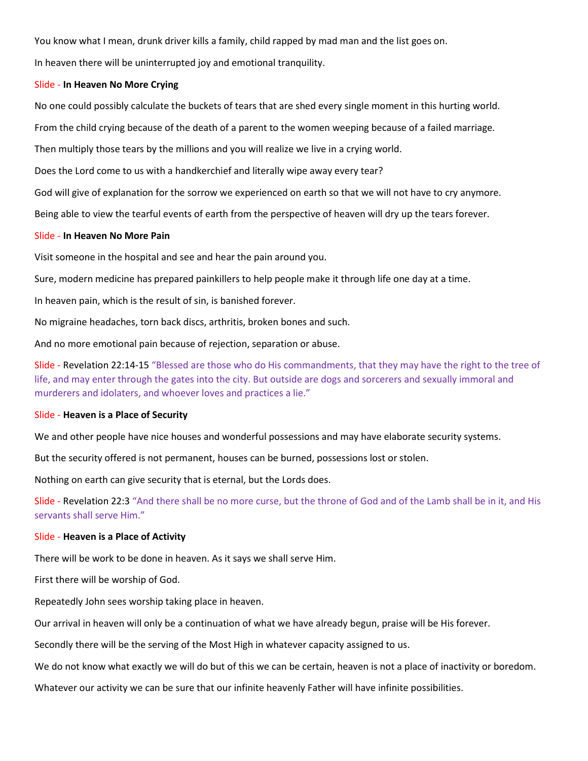You know what I mean, drunk driver kills a family, child rapped by mad man and the list goes on.

In heaven there will be uninterrupted joy and emotional tranquility.

# Slide - In Heaven No More Crying

No one could possibly calculate the buckets of tears that are shed every single moment in this hurting world.

From the child crying because of the death of a parent to the women weeping because of a failed marriage.

Then multiply those tears by the millions and you will realize we live in a crying world.

Does the Lord come to us with a handkerchief and literally wipe away every tear?

God will give of explanation for the sorrow we experienced on earth so that we will not have to cry anymore.

Being able to view the tearful events of earth from the perspective of heaven will dry up the tears forever.

#### Slide - In Heaven No More Pain

Visit someone in the hospital and see and hear the pain around you.

Sure, modern medicine has prepared painkillers to help people make it through life one day at a time.

In heaven pain, which is the result of sin, is banished forever.

No migraine headaches, torn back discs, arthritis, broken bones and such.

And no more emotional pain because of rejection, separation or abuse.

Slide - Revelation 22:14-15 "Blessed are those who do His commandments, that they may have the right to the tree of life, and may enter through the gates into the city. But outside are dogs and sorcerers and sexually immoral and murderers and idolaters, and whoever loves and practices a lie."

#### Slide - Heaven is a Place of Security

We and other people have nice houses and wonderful possessions and may have elaborate security systems.

But the security offered is not permanent, houses can be burned, possessions lost or stolen.

Nothing on earth can give security that is eternal, but the Lords does.

Slide - Revelation 22:3 "And there shall be no more curse, but the throne of God and of the Lamb shall be in it, and His servants shall serve Him."

# Slide - Heaven is a Place of Activity

There will be work to be done in heaven. As it says we shall serve Him.

First there will be worship of God.

Repeatedly John sees worship taking place in heaven.

Our arrival in heaven will only be a continuation of what we have already begun, praise will be His forever.

Secondly there will be the serving of the Most High in whatever capacity assigned to us.

We do not know what exactly we will do but of this we can be certain, heaven is not a place of inactivity or boredom.

Whatever our activity we can be sure that our infinite heavenly Father will have infinite possibilities.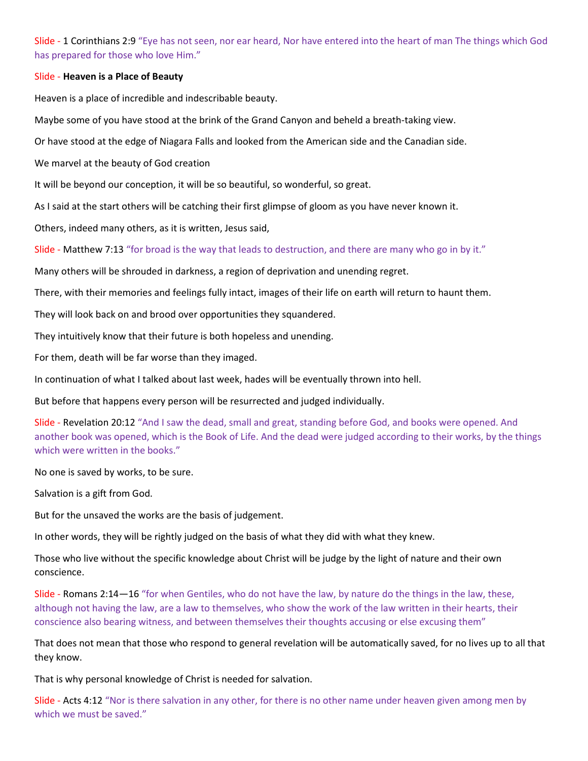Slide - 1 Corinthians 2:9 "Eye has not seen, nor ear heard, Nor have entered into the heart of man The things which God has prepared for those who love Him."

# Slide - Heaven is a Place of Beauty

Heaven is a place of incredible and indescribable beauty.

Maybe some of you have stood at the brink of the Grand Canyon and beheld a breath-taking view.

Or have stood at the edge of Niagara Falls and looked from the American side and the Canadian side.

We marvel at the beauty of God creation

It will be beyond our conception, it will be so beautiful, so wonderful, so great.

As I said at the start others will be catching their first glimpse of gloom as you have never known it.

Others, indeed many others, as it is written, Jesus said,

Slide - Matthew 7:13 "for broad is the way that leads to destruction, and there are many who go in by it."

Many others will be shrouded in darkness, a region of deprivation and unending regret.

There, with their memories and feelings fully intact, images of their life on earth will return to haunt them.

They will look back on and brood over opportunities they squandered.

They intuitively know that their future is both hopeless and unending.

For them, death will be far worse than they imaged.

In continuation of what I talked about last week, hades will be eventually thrown into hell.

But before that happens every person will be resurrected and judged individually.

Slide - Revelation 20:12 "And I saw the dead, small and great, standing before God, and books were opened. And another book was opened, which is the Book of Life. And the dead were judged according to their works, by the things which were written in the books."

No one is saved by works, to be sure.

Salvation is a gift from God.

But for the unsaved the works are the basis of judgement.

In other words, they will be rightly judged on the basis of what they did with what they knew.

Those who live without the specific knowledge about Christ will be judge by the light of nature and their own conscience.

Slide - Romans 2:14—16 "for when Gentiles, who do not have the law, by nature do the things in the law, these, although not having the law, are a law to themselves, who show the work of the law written in their hearts, their conscience also bearing witness, and between themselves their thoughts accusing or else excusing them"

That does not mean that those who respond to general revelation will be automatically saved, for no lives up to all that they know.

That is why personal knowledge of Christ is needed for salvation.

Slide - Acts 4:12 "Nor is there salvation in any other, for there is no other name under heaven given among men by which we must be saved."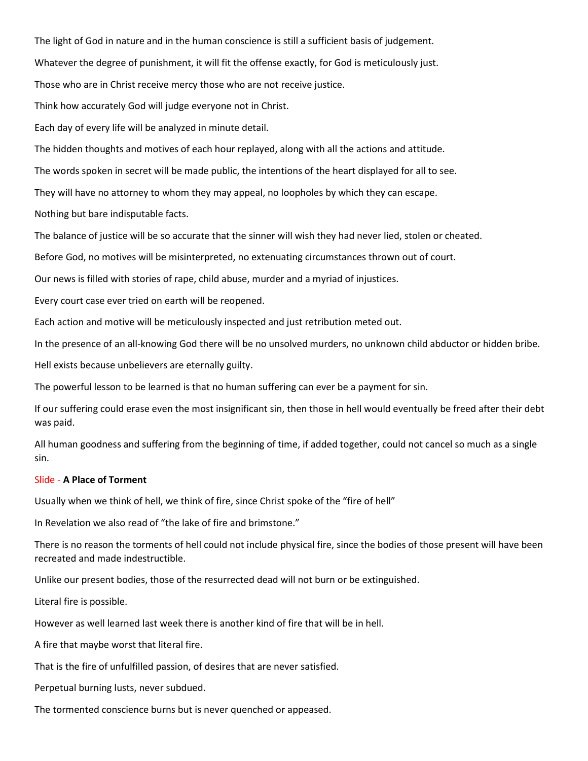The light of God in nature and in the human conscience is still a sufficient basis of judgement. Whatever the degree of punishment, it will fit the offense exactly, for God is meticulously just. Those who are in Christ receive mercy those who are not receive justice.

Think how accurately God will judge everyone not in Christ.

Each day of every life will be analyzed in minute detail.

The hidden thoughts and motives of each hour replayed, along with all the actions and attitude.

The words spoken in secret will be made public, the intentions of the heart displayed for all to see.

They will have no attorney to whom they may appeal, no loopholes by which they can escape.

Nothing but bare indisputable facts.

The balance of justice will be so accurate that the sinner will wish they had never lied, stolen or cheated.

Before God, no motives will be misinterpreted, no extenuating circumstances thrown out of court.

Our news is filled with stories of rape, child abuse, murder and a myriad of injustices.

Every court case ever tried on earth will be reopened.

Each action and motive will be meticulously inspected and just retribution meted out.

In the presence of an all-knowing God there will be no unsolved murders, no unknown child abductor or hidden bribe.

Hell exists because unbelievers are eternally guilty.

The powerful lesson to be learned is that no human suffering can ever be a payment for sin.

If our suffering could erase even the most insignificant sin, then those in hell would eventually be freed after their debt was paid.

All human goodness and suffering from the beginning of time, if added together, could not cancel so much as a single sin.

# Slide - A Place of Torment

Usually when we think of hell, we think of fire, since Christ spoke of the "fire of hell"

In Revelation we also read of "the lake of fire and brimstone."

There is no reason the torments of hell could not include physical fire, since the bodies of those present will have been recreated and made indestructible.

Unlike our present bodies, those of the resurrected dead will not burn or be extinguished.

Literal fire is possible.

However as well learned last week there is another kind of fire that will be in hell.

A fire that maybe worst that literal fire.

That is the fire of unfulfilled passion, of desires that are never satisfied.

Perpetual burning lusts, never subdued.

The tormented conscience burns but is never quenched or appeased.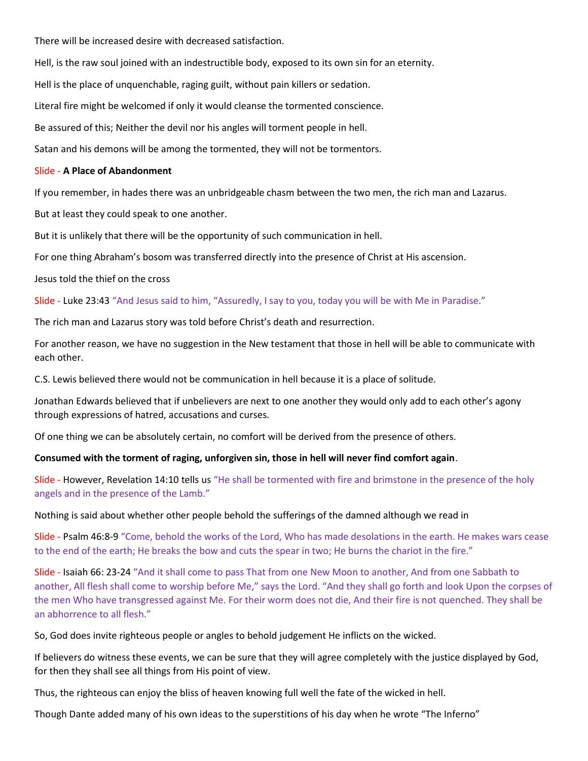There will be increased desire with decreased satisfaction.

Hell, is the raw soul joined with an indestructible body, exposed to its own sin for an eternity.

Hell is the place of unquenchable, raging guilt, without pain killers or sedation.

Literal fire might be welcomed if only it would cleanse the tormented conscience.

Be assured of this; Neither the devil nor his angles will torment people in hell.

Satan and his demons will be among the tormented, they will not be tormentors.

# Slide - A Place of Abandonment

If you remember, in hades there was an unbridgeable chasm between the two men, the rich man and Lazarus.

But at least they could speak to one another.

But it is unlikely that there will be the opportunity of such communication in hell.

For one thing Abraham's bosom was transferred directly into the presence of Christ at His ascension.

Jesus told the thief on the cross

Slide - Luke 23:43 "And Jesus said to him, "Assuredly, I say to you, today you will be with Me in Paradise."

The rich man and Lazarus story was told before Christ's death and resurrection.

For another reason, we have no suggestion in the New testament that those in hell will be able to communicate with each other.

C.S. Lewis believed there would not be communication in hell because it is a place of solitude.

Jonathan Edwards believed that if unbelievers are next to one another they would only add to each other's agony through expressions of hatred, accusations and curses.

Of one thing we can be absolutely certain, no comfort will be derived from the presence of others.

# Consumed with the torment of raging, unforgiven sin, those in hell will never find comfort again.

Slide - However, Revelation 14:10 tells us "He shall be tormented with fire and brimstone in the presence of the holy angels and in the presence of the Lamb."

Nothing is said about whether other people behold the sufferings of the damned although we read in

Slide - Psalm 46:8-9 "Come, behold the works of the Lord, Who has made desolations in the earth. He makes wars cease to the end of the earth; He breaks the bow and cuts the spear in two; He burns the chariot in the fire."

Slide - Isaiah 66: 23-24 "And it shall come to pass That from one New Moon to another, And from one Sabbath to another, All flesh shall come to worship before Me," says the Lord. "And they shall go forth and look Upon the corpses of the men Who have transgressed against Me. For their worm does not die, And their fire is not quenched. They shall be an abhorrence to all flesh."

So, God does invite righteous people or angles to behold judgement He inflicts on the wicked.

If believers do witness these events, we can be sure that they will agree completely with the justice displayed by God, for then they shall see all things from His point of view.

Thus, the righteous can enjoy the bliss of heaven knowing full well the fate of the wicked in hell.

Though Dante added many of his own ideas to the superstitions of his day when he wrote "The Inferno"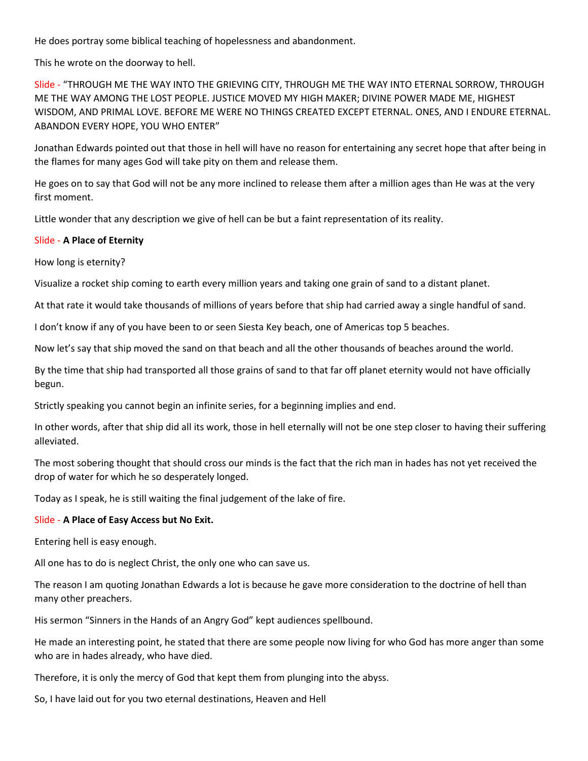He does portray some biblical teaching of hopelessness and abandonment.

This he wrote on the doorway to hell.

Slide - "THROUGH ME THE WAY INTO THE GRIEVING CITY, THROUGH ME THE WAY INTO ETERNAL SORROW, THROUGH ME THE WAY AMONG THE LOST PEOPLE. JUSTICE MOVED MY HIGH MAKER; DIVINE POWER MADE ME, HIGHEST WISDOM, AND PRIMAL LOVE. BEFORE ME WERE NO THINGS CREATED EXCEPT ETERNAL. ONES, AND I ENDURE ETERNAL. ABANDON EVERY HOPE, YOU WHO ENTER"

Jonathan Edwards pointed out that those in hell will have no reason for entertaining any secret hope that after being in the flames for many ages God will take pity on them and release them.

He goes on to say that God will not be any more inclined to release them after a million ages than He was at the very first moment.

Little wonder that any description we give of hell can be but a faint representation of its reality.

# Slide - A Place of Eternity

How long is eternity?

Visualize a rocket ship coming to earth every million years and taking one grain of sand to a distant planet.

At that rate it would take thousands of millions of years before that ship had carried away a single handful of sand.

I don't know if any of you have been to or seen Siesta Key beach, one of Americas top 5 beaches.

Now let's say that ship moved the sand on that beach and all the other thousands of beaches around the world.

By the time that ship had transported all those grains of sand to that far off planet eternity would not have officially begun.

Strictly speaking you cannot begin an infinite series, for a beginning implies and end.

In other words, after that ship did all its work, those in hell eternally will not be one step closer to having their suffering alleviated.

The most sobering thought that should cross our minds is the fact that the rich man in hades has not yet received the drop of water for which he so desperately longed.

Today as I speak, he is still waiting the final judgement of the lake of fire.

# Slide - A Place of Easy Access but No Exit.

Entering hell is easy enough.

All one has to do is neglect Christ, the only one who can save us.

The reason I am quoting Jonathan Edwards a lot is because he gave more consideration to the doctrine of hell than many other preachers.

His sermon "Sinners in the Hands of an Angry God" kept audiences spellbound.

He made an interesting point, he stated that there are some people now living for who God has more anger than some who are in hades already, who have died.

Therefore, it is only the mercy of God that kept them from plunging into the abyss.

So, I have laid out for you two eternal destinations, Heaven and Hell